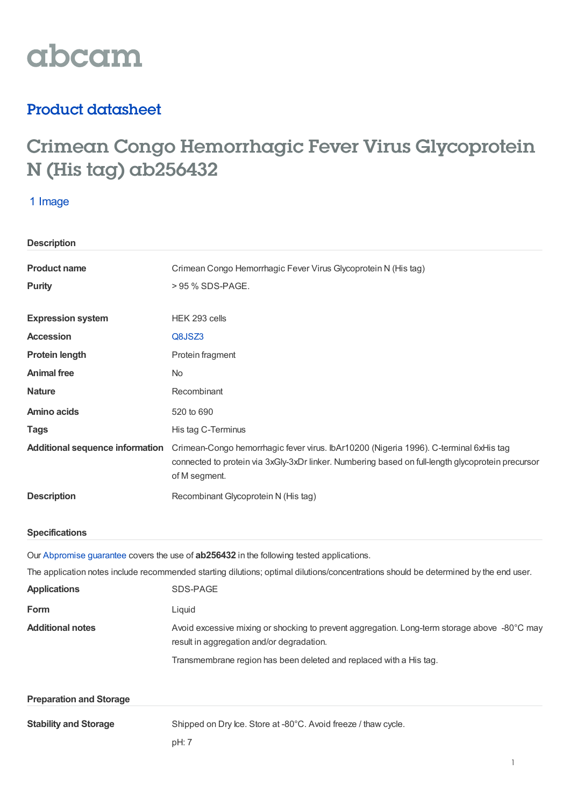# abcam

## Product datasheet

## Crimean Congo Hemorrhagic Fever Virus Glycoprotein N (His tag) ab256432

## 1 Image

| <b>Description</b>                     |                                                                                                                                                                                                             |
|----------------------------------------|-------------------------------------------------------------------------------------------------------------------------------------------------------------------------------------------------------------|
| <b>Product name</b>                    | Crimean Congo Hemorrhagic Fever Virus Glycoprotein N (His tag)                                                                                                                                              |
| <b>Purity</b>                          | > 95 % SDS-PAGE.                                                                                                                                                                                            |
| <b>Expression system</b>               | HEK 293 cells                                                                                                                                                                                               |
| <b>Accession</b>                       | Q8JSZ3                                                                                                                                                                                                      |
| <b>Protein length</b>                  | Protein fragment                                                                                                                                                                                            |
| <b>Animal free</b>                     | <b>No</b>                                                                                                                                                                                                   |
| <b>Nature</b>                          | Recombinant                                                                                                                                                                                                 |
| <b>Amino acids</b>                     | 520 to 690                                                                                                                                                                                                  |
| <b>Tags</b>                            | His tag C-Terminus                                                                                                                                                                                          |
| <b>Additional sequence information</b> | Crimean-Congo hemorrhagic fever virus. IbAr10200 (Nigeria 1996). C-terminal 6xHis tag<br>connected to protein via 3xGly-3xDr linker. Numbering based on full-length glycoprotein precursor<br>of M segment. |
|                                        |                                                                                                                                                                                                             |
| <b>Description</b>                     | Recombinant Glycoprotein N (His tag)                                                                                                                                                                        |
| <b>Specifications</b>                  |                                                                                                                                                                                                             |
|                                        | Our Abpromise guarantee covers the use of ab256432 in the following tested applications.                                                                                                                    |
|                                        | The application notes include recommended starting dilutions; optimal dilutions/concentrations should be determined by the end user.                                                                        |
| <b>Applications</b>                    | SDS-PAGE                                                                                                                                                                                                    |
| Form                                   | Liquid                                                                                                                                                                                                      |
| <b>Additional notes</b>                | Avoid excessive mixing or shocking to prevent aggregation. Long-term storage above -80°C may<br>result in aggregation and/or degradation.                                                                   |
|                                        | Transmembrane region has been deleted and replaced with a His tag.                                                                                                                                          |
| <b>Preparation and Storage</b>         |                                                                                                                                                                                                             |